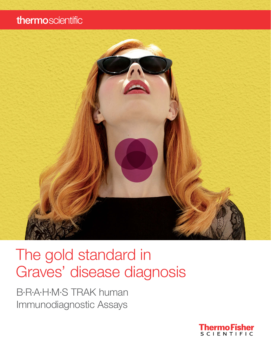# thermoscientific



# The gold standard in Graves' disease diagnosis

B·R·A·H·M·S TRAK human Immunodiagnostic Assays

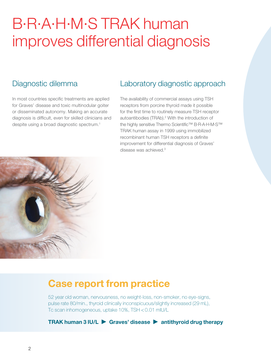# B·R·A·H·M·S TRAK human improves differential diagnosis

### Diagnostic dilemma

In most countries specific treatments are applied for Graves' disease and toxic multinodular goiter or disseminated autonomy. Making an accurate diagnosis is difficult, even for skilled clinicians and despite using a broad diagnostic spectrum.1

### Laboratory diagnostic approach

The availability of commercial assays using TSH receptors from porcine thyroid made it possible for the first time to routinely measure TSH receptor autoantibodies (TRAb).<sup>2</sup> With the introduction of the highly sensitive Thermo Scientific™ B·R·A·H·M·S™ TRAK human assay in 1999 using immobilized recombinant human TSH receptors a definite improvement for differential diagnosis of Graves' disease was achieved.3



### Case report from practice

52 year old woman, nervousness, no weight-loss, non-smoker, no eye-signs, pulse rate 80/min., thyroid clinically inconspicuous/slightly increased (29 mL), Tc scan inhomogeneous, uptake 10%, TSH <0.01 mIU/L

TRAK human 3 IU/L  $\triangleright$  Graves' disease  $\triangleright$  antithyroid drug therapy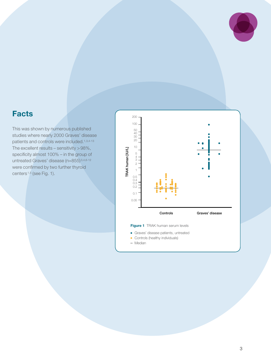

### Facts

This was shown by numerous published studies where nearly 2000 Graves' disease patients and controls were included.1,3,4-13 The excellent results – sensitivity  $>98\%$ , specificity almost 100% – in the group of untreated Graves' disease (n=855) 3,4,6-12 were confirmed by two further thyroid centers<sup>1,5</sup> (see Fig. 1).

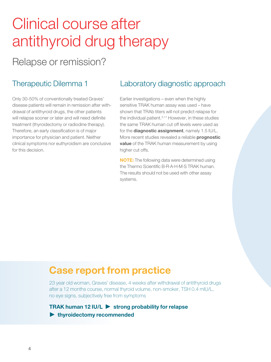# Clinical course after antithyroid drug therapy

# Relapse or remission?

### Therapeutic Dilemma 1

Only 30-50% of conventionally treated Graves' disease patients will remain in remission after withdrawal of antithyroid drugs, the other patients will relapse sooner or later and will need definite treatment (thyroidectomy or radiodine therapy). Therefore, an early classification is of major importance for physician and patient. Neither clinical symptoms nor euthyroidism are conclusive for this decision.

### Laboratory diagnostic approach

Earlier investigations – even when the highly sensitive TRAK human assay was used – have shown that TRAb titers will not predict relapse for the individual patient.<sup>3,11</sup> However, in these studies the same TRAK human cut off levels were used as for the **diagnostic assignment**, namely 1.5 IU/L. More recent studies revealed a reliable **prognostic value** of the TRAK human measurement by using higher cut offs.

NOTE: The following data were determined using the Thermo Scientific B·R·A·H·M·S TRAK human. The results should not be used with other assay systems.

### Case report from practice

23 year old woman, Graves' disease, 4 weeks after withdrawal of antithyroid drugs after a 12 months course, normal thyroid volume, non-smoker, TSH 0.4 mIU/L, no eye signs, subjectively free from symptoms

TRAK human 12 IU/L  $\triangleright$  strong probability for relapse  $\blacktriangleright$  thyroidectomy recommended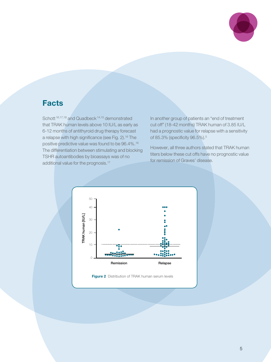

### Facts

Schott 16,17,18 and Quadbeck 14,15 demonstrated that TRAK human levels above 10 IU/L as early as 6-12 months of antithyroid drug therapy forecast a relapse with high significance (see Fig. 2).<sup>16</sup> The positive predictive value was found to be 96.4%.16 The differentiation between stimulating and blocking TSHR autoantibodies by bioassays was of no additional value for the prognosis.<sup>17</sup>

In another group of patients an "end of treatment cut off" (18-42 months) TRAK human of 3.85 IU/L had a prognostic value for relapse with a sensitivity of 85.3% (specificity 96.5%).5

However, all three authors stated that TRAK human titers below these cut offs have no prognostic value for remission of Graves' disease.



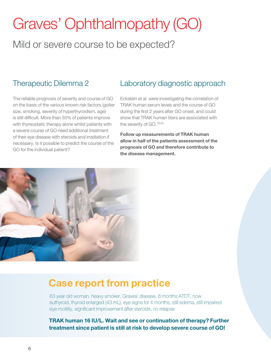# Graves' Ophthalmopathy (GO)

# Mild or severe course to be expected?

#### Therapeutic Dilemma 2

The reliable prognosis of severity and course of GO on the basis of the various known risk factors (goiter size, smoking, severity of hyperthyroidism, age) is still difficult. More than 50% of patients improve with thyreostatic therapy alone whilst patients with a severe course of GO need additional treatment of their eye disease with steroids and irradiation if necessary. Is it possible to predict the course of the GO for the individual patient?

### Laboratory diagnostic approach

Eckstein et al. were investigating the correlation of TRAK human serum levels and the course of GO during the first 2 years after GO onset, and could show that TRAK human titers are associated with the severity of GO.19,20

Follow up measurements of TRAK human allow in half of the patients assessment of the prognosis of GO and therefore contribute to the disease management.



### Case report from practice

63 year old woman, heavy smoker, Graves' disease, 6 months ATDT, now euthyroid, thyroid enlarged (43 mL), eye signs for 4 months, still edema, still impaired eye motility, significant improvement after steroids, no relapse

TRAK human 16 IU/L. Wait and see or continuation of therapy? Further treatment since patient is still at risk to develop severe course of GO!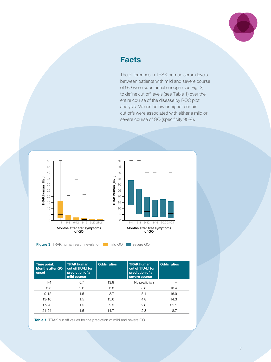

### **Facts**

The differences in TRAK human serum levels between patients with mild and severe course of GO were substantial enough (see Fig. 3) to define cut off levels (see Table 1) over the entire course of the disease by ROC plot analysis. Values below or higher certain cut offs were associated with either a mild or severe course of GO (specificity 90%).



Figure 3 TRAK human serum levels for **multiple of the set of severe GO** 

| Time point:<br><b>Months after GO</b><br>onset | <b>TRAK human</b><br>cut off [IU/L] for<br>prediction of a<br>mild course | <b>Odds ratios</b> | <b>TRAK human</b><br>cut off [IU/L] for<br>prediction of a<br>severe course | <b>Odds ratios</b> |
|------------------------------------------------|---------------------------------------------------------------------------|--------------------|-----------------------------------------------------------------------------|--------------------|
| $1 - 4$                                        | 5.7                                                                       | 13.9               | No prediction                                                               |                    |
| $5 - 8$                                        | 2.6                                                                       | 6.8                | 8.8                                                                         | 18.4               |
| $9 - 12$                                       | 1.5                                                                       | 3.7                | 5.1                                                                         | 16.9               |
| 13-16                                          | 1.5                                                                       | 15.6               | 4.8                                                                         | 14.3               |
| $17 - 20$                                      | 1.5                                                                       | 2.3                | 2.8                                                                         | 31.1               |
| $21 - 24$                                      | 1.5                                                                       | 14.7               | 2.8                                                                         | 8.7                |

Table 1 TRAK cut off values for the prediction of mild and severe GO